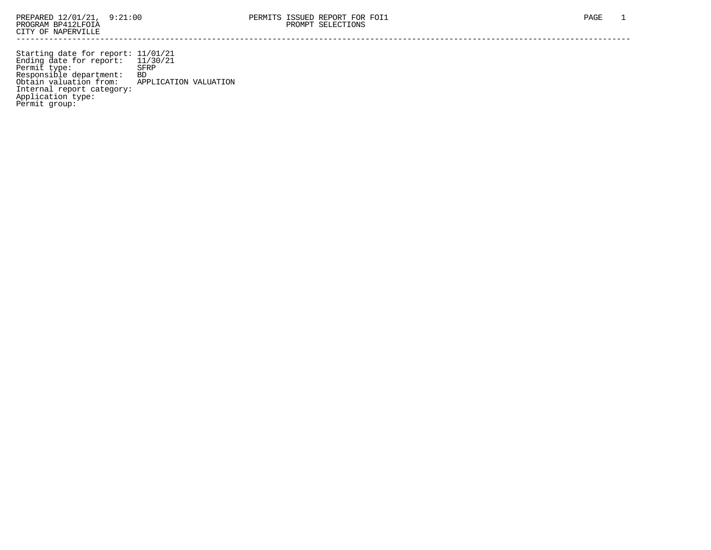Starting date for report: 11/01/21 Ending date for report: 11/30/21 Permit type: SFRP Responsible department: BD Obtain valuation from: APPLICATION VALUATION Internal report category: Application type: Permit group: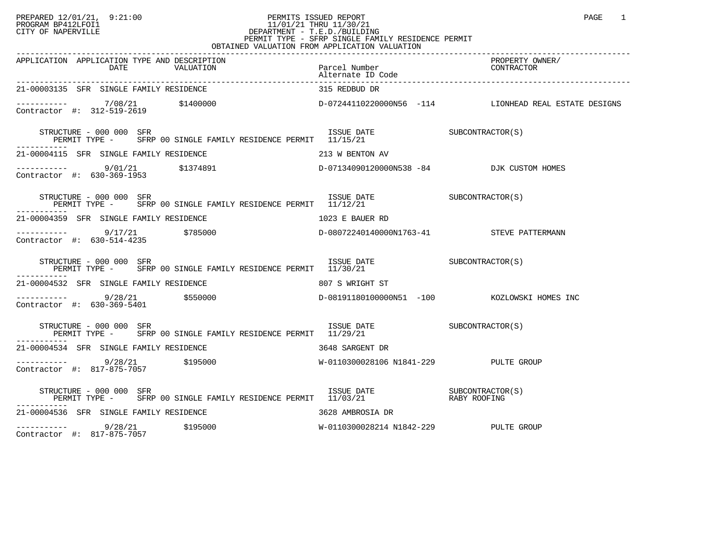## PREPARED 12/01/21, 9:21:00 PERMITS ISSUED REPORT PAGE 1 PROGRAM BP412LFOI1 11/01/21 THRU 11/30/21 CITY OF NAPERVILLE **Example 20** CITY OF NAPERVILLE CITY OF NAPERVILLE<br>
PERMIT TYPE - SFRP SINGLE FAMILY RESIDENCE PERMIT<br>
PERMIT TYPE - SFRP SINGLE FAMILY RESIDENCE PERMIT OBTAINED VALUATION FROM APPLICATION VALUATION

| APPLICATION APPLICATION TYPE AND DESCRIPTION PESCRIPTION PATCEL Number PROPERTY OWNER/<br>DATE VALUATION Parcel Number CONTRACTOR Alternate ID Code Alternate ID Code                                                        |                                       |  |
|------------------------------------------------------------------------------------------------------------------------------------------------------------------------------------------------------------------------------|---------------------------------------|--|
| 21-00003135 SFR SINGLE FAMILY RESIDENCE                                                                                                                                                                                      | 315 REDBUD DR                         |  |
|                                                                                                                                                                                                                              |                                       |  |
|                                                                                                                                                                                                                              |                                       |  |
| 21-00004115 SFR SINGLE FAMILY RESIDENCE THE SERIES OF STRING AVERTON AV                                                                                                                                                      |                                       |  |
| $\begin{array}{cccccccc} - & & & & 9/01/21 & & \xi 1374891 & & & \text{D}-07134090120000 \text{m}538 & -84 & & & \text{DJK CUSTOM HOMES} \text{Contractor} & \text{\#}: & 630-369-1953 & & & & \end{array}$                  |                                       |  |
| ISSUE DATE<br>ISSUE DATE<br>IN THE SUBCONTRACTOR(S)<br>STRUCTURE - 000 000 SFR<br>PERMIT TYPE - SFRP 00 SINGLE FAMILY RESIDENCE PERMIT 11/12/21                                                                              |                                       |  |
| 21-00004359 SFR SINGLE FAMILY RESIDENCE THE SERVICE RESIDENCE 21-00004359 SFR SINGLE FAMILY RESIDENCE                                                                                                                        |                                       |  |
|                                                                                                                                                                                                                              |                                       |  |
| STRUCTURE - 000 000 SFR                                                                                                                                                                                                      |                                       |  |
| 21-00004532 SFR SINGLE FAMILY RESIDENCE THE SERIES OF SWRIGHT ST                                                                                                                                                             |                                       |  |
| ----------- 9/28/21 \$550000 \$550000 D-08191180100000N51 -100 KOZLOWSKI HOMES INC                                                                                                                                           |                                       |  |
| STRUCTURE - 000 000 SFR<br>PERMIT TYPE - SFRP 00 SINGLE FAMILY RESIDENCE PERMIT 11/29/21                                                                                                                                     | ISSUE DATE SUBCONTRACTOR(S)           |  |
| 21-00004534 SFR SINGLE FAMILY RESIDENCE THE SERVICE 3648 SARGENT DR                                                                                                                                                          |                                       |  |
| Contractor #: 817-875-7057                                                                                                                                                                                                   |                                       |  |
| $\begin{array}{cccc} \texttt{STRUCTURE} & - & 000 & 000 & \texttt{SFR} \\ \texttt{PERMIT} & \texttt{TYPE} & - & \texttt{SFRP} & 00 & \texttt{SINGLE FAMILY RESIDENCE PERMIT} & 11/03/21 & \texttt{RABY ROOFING} \end{array}$ |                                       |  |
| 21-00004536 SFR SINGLE FAMILY RESIDENCE THE SERIES OF STREAM STREAM STREAM OR                                                                                                                                                |                                       |  |
| ----------- 9/28/21 \$195000<br>Contractor #: 817-875-7057 \$195000                                                                                                                                                          | W-0110300028214 N1842-229 PULTE GROUP |  |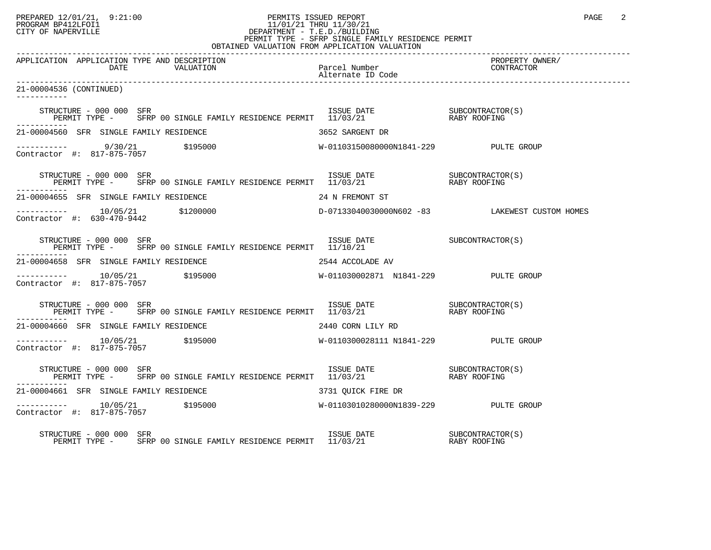## PREPARED 12/01/21, 9:21:00 PERMITS ISSUED REPORT PAGE 2 PROGRAM BP412LFOI1 11/01/21 THRU 11/30/21 CITY OF NAPERVILLE **Example 20** CITY OF NAPERVILLE PERMIT TYPE - SFRP SINGLE FAMILY RESIDENCE PERMIT OBTAINED VALUATION FROM APPLICATION VALUATION

| APPLICATION APPLICATION TYPE AND DESCRIPTION |                                                                                                                                                                                                                                                                                                                                 |                                      | PROPERTY OWNER/ |
|----------------------------------------------|---------------------------------------------------------------------------------------------------------------------------------------------------------------------------------------------------------------------------------------------------------------------------------------------------------------------------------|--------------------------------------|-----------------|
| 21-00004536 (CONTINUED)                      |                                                                                                                                                                                                                                                                                                                                 |                                      |                 |
| STRUCTURE - 000 000 SFR                      |                                                                                                                                                                                                                                                                                                                                 |                                      |                 |
|                                              | 21-00004560 SFR SINGLE FAMILY RESIDENCE                                                                                                                                                                                                                                                                                         | 3652 SARGENT DR                      |                 |
|                                              |                                                                                                                                                                                                                                                                                                                                 |                                      |                 |
| -----------                                  | STRUCTURE – 000 000 SFR<br>PERMIT TYPE – SFRP 00 SINGLE FAMILY RESIDENCE PERMIT 11/03/21 – RABY ROOFING                                                                                                                                                                                                                         |                                      |                 |
|                                              | 21-00004655 SFR SINGLE FAMILY RESIDENCE $24$ N FREMONT ST                                                                                                                                                                                                                                                                       |                                      |                 |
|                                              |                                                                                                                                                                                                                                                                                                                                 |                                      |                 |
|                                              | $\begin{array}{lllllll} \texttt{STRUCTURE} & - & 000 & 000 & \texttt{SFR} & & & & \\ \texttt{PERMIT TYPE} & - & & \texttt{SFRP} & 00 & \texttt{SINGLE FAMILY RESIDENCE PERMIT} & 11/10/21 & & & & \\ \texttt{PERMIT TYPE} & - & & \texttt{SFRP} & 00 & \texttt{SINGLE FAMILY RESIDENCE PERMIT} & 11/10/21 & & & \\ \end{array}$ |                                      |                 |
|                                              | 21-00004658 SFR SINGLE FAMILY RESIDENCE NAME AND STRING 2544 ACCOLADE AV                                                                                                                                                                                                                                                        |                                      |                 |
|                                              | ----------- 10/05/21 \$195000<br>Contractor #: 817-875-7057                                                                                                                                                                                                                                                                     | W-011030002871 N1841-229 PULTE GROUP |                 |
|                                              | STRUCTURE – 000 000 SFR<br>PERMIT TYPE – SFRP 00 SINGLE FAMILY RESIDENCE PERMIT 11/03/21 (RABY ROOFING                                                                                                                                                                                                                          |                                      |                 |
|                                              | 21-00004660 SFR SINGLE FAMILY RESIDENCE THE SAME RESOLUTION 2440 CORN LILY RD                                                                                                                                                                                                                                                   |                                      |                 |
|                                              |                                                                                                                                                                                                                                                                                                                                 |                                      |                 |
|                                              | STRUCTURE – 000 000 SFR<br>PERMIT TYPE – SFRP 00 SINGLE FAMILY RESIDENCE PERMIT 11/03/21 (RABY ROOFING                                                                                                                                                                                                                          |                                      |                 |
|                                              | 21-00004661 SFR SINGLE FAMILY RESIDENCE THE STATE OF STATE OR STATE OR                                                                                                                                                                                                                                                          |                                      |                 |
|                                              |                                                                                                                                                                                                                                                                                                                                 |                                      |                 |
| STRUCTURE - 000 000 SFR                      |                                                                                                                                                                                                                                                                                                                                 |                                      |                 |